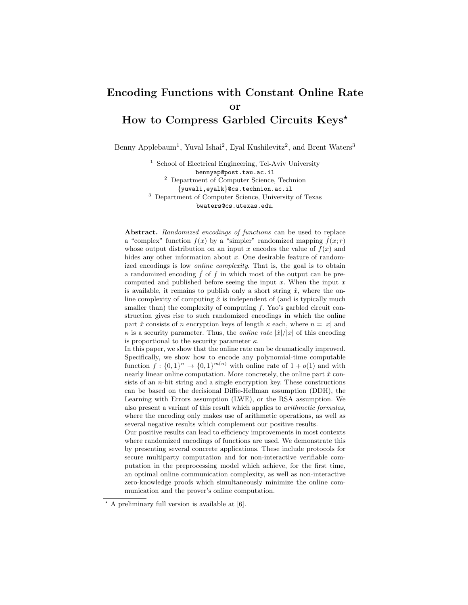# Encoding Functions with Constant Online Rate or How to Compress Garbled Circuits Keys?

Benny Applebaum<sup>1</sup>, Yuval Ishai<sup>2</sup>, Eyal Kushilevitz<sup>2</sup>, and Brent Waters<sup>3</sup>

<sup>1</sup> School of Electrical Engineering, Tel-Aviv University bennyap@post.tau.ac.il <sup>2</sup> Department of Computer Science, Technion {yuvali,eyalk}@cs.technion.ac.il <sup>3</sup> Department of Computer Science, University of Texas bwaters@cs.utexas.edu.

Abstract. Randomized encodings of functions can be used to replace a "complex" function  $f(x)$  by a "simpler" randomized mapping  $\hat{f}(x; r)$ whose output distribution on an input x encodes the value of  $f(x)$  and hides any other information about x. One desirable feature of randomized encodings is low *online complexity*. That is, the goal is to obtain a randomized encoding  $\hat{f}$  of f in which most of the output can be precomputed and published before seeing the input  $x$ . When the input  $x$ is available, it remains to publish only a short string  $\hat{x}$ , where the online complexity of computing  $\hat{x}$  is independent of (and is typically much smaller than) the complexity of computing  $f$ . Yao's garbled circuit construction gives rise to such randomized encodings in which the online part  $\hat{x}$  consists of n encryption keys of length  $\kappa$  each, where  $n = |x|$  and  $\kappa$  is a security parameter. Thus, the *online rate*  $|\hat{x}|/|x|$  of this encoding is proportional to the security parameter  $\kappa$ .

In this paper, we show that the online rate can be dramatically improved. Specifically, we show how to encode any polynomial-time computable function  $f: \{0,1\}^n \to \{0,1\}^{m(n)}$  with online rate of  $1 + o(1)$  and with nearly linear online computation. More concretely, the online part  $\hat{x}$  consists of an n-bit string and a single encryption key. These constructions can be based on the decisional Diffie-Hellman assumption (DDH), the Learning with Errors assumption (LWE), or the RSA assumption. We also present a variant of this result which applies to arithmetic formulas, where the encoding only makes use of arithmetic operations, as well as several negative results which complement our positive results.

Our positive results can lead to efficiency improvements in most contexts where randomized encodings of functions are used. We demonstrate this by presenting several concrete applications. These include protocols for secure multiparty computation and for non-interactive verifiable computation in the preprocessing model which achieve, for the first time, an optimal online communication complexity, as well as non-interactive zero-knowledge proofs which simultaneously minimize the online communication and the prover's online computation.

 $\star$  A preliminary full version is available at [6].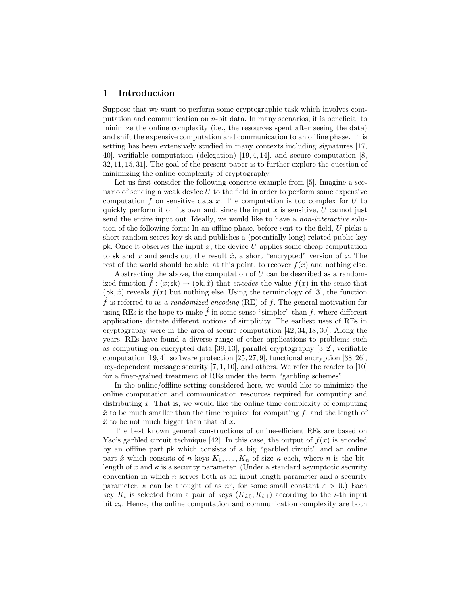## 1 Introduction

Suppose that we want to perform some cryptographic task which involves computation and communication on  $n$ -bit data. In many scenarios, it is beneficial to minimize the online complexity (i.e., the resources spent after seeing the data) and shift the expensive computation and communication to an offline phase. This setting has been extensively studied in many contexts including signatures [17, 40], verifiable computation (delegation) [19, 4, 14], and secure computation [8, 32, 11, 15, 31]. The goal of the present paper is to further explore the question of minimizing the online complexity of cryptography.

Let us first consider the following concrete example from [5]. Imagine a scenario of sending a weak device U to the field in order to perform some expensive computation f on sensitive data x. The computation is too complex for  $U$  to quickly perform it on its own and, since the input  $x$  is sensitive,  $U$  cannot just send the entire input out. Ideally, we would like to have a non-interactive solution of the following form: In an offline phase, before sent to the field, U picks a short random secret key sk and publishes a (potentially long) related public key pk. Once it observes the input  $x$ , the device  $U$  applies some cheap computation to sk and x and sends out the result  $\hat{x}$ , a short "encrypted" version of x. The rest of the world should be able, at this point, to recover  $f(x)$  and nothing else.

Abstracting the above, the computation of  $U$  can be described as a randomized function  $\hat{f}$  :  $(x;$ sk $) \mapsto (p, \hat{x})$  that encodes the value  $f(x)$  in the sense that  $(\mathsf{pk}, \hat{x})$  reveals  $f(x)$  but nothing else. Using the terminology of [3], the function  $\hat{f}$  is referred to as a *randomized encoding* (RE) of  $f$ . The general motivation for using REs is the hope to make  $f$  in some sense "simpler" than  $f$ , where different applications dictate different notions of simplicity. The earliest uses of REs in cryptography were in the area of secure computation [42, 34, 18, 30]. Along the years, REs have found a diverse range of other applications to problems such as computing on encrypted data [39, 13], parallel cryptography [3, 2], verifiable computation [19, 4], software protection [25, 27, 9], functional encryption [38, 26], key-dependent message security  $[7, 1, 10]$ , and others. We refer the reader to  $[10]$ for a finer-grained treatment of REs under the term "garbling schemes".

In the online/offline setting considered here, we would like to minimize the online computation and communication resources required for computing and distributing  $\hat{x}$ . That is, we would like the online time complexity of computing  $\hat{x}$  to be much smaller than the time required for computing f, and the length of  $\hat{x}$  to be not much bigger than that of x.

The best known general constructions of online-efficient REs are based on Yao's garbled circuit technique [42]. In this case, the output of  $f(x)$  is encoded by an offline part pk which consists of a big "garbled circuit" and an online part  $\hat{x}$  which consists of n keys  $K_1, \ldots, K_n$  of size  $\kappa$  each, where n is the bitlength of x and  $\kappa$  is a security parameter. (Under a standard asymptotic security convention in which  $n$  serves both as an input length parameter and a security parameter,  $\kappa$  can be thought of as  $n^{\varepsilon}$ , for some small constant  $\varepsilon > 0$ .) Each key  $K_i$  is selected from a pair of keys  $(K_{i,0}, K_{i,1})$  according to the *i*-th input bit  $x_i$ . Hence, the online computation and communication complexity are both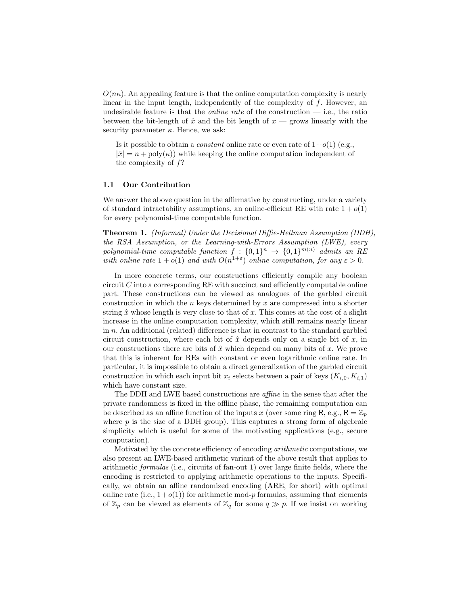$O(n\kappa)$ . An appealing feature is that the online computation complexity is nearly linear in the input length, independently of the complexity of f. However, an undesirable feature is that the *online rate* of the construction  $-$  i.e., the ratio between the bit-length of  $\hat{x}$  and the bit length of  $x$  — grows linearly with the security parameter  $\kappa$ . Hence, we ask:

Is it possible to obtain a *constant* online rate or even rate of  $1+o(1)$  (e.g.,  $|\hat{x}| = n + \text{poly}(\kappa)$  while keeping the online computation independent of the complexity of  $f$ ?

## 1.1 Our Contribution

We answer the above question in the affirmative by constructing, under a variety of standard intractability assumptions, an online-efficient RE with rate  $1 + o(1)$ for every polynomial-time computable function.

Theorem 1. (Informal) Under the Decisional Diffie-Hellman Assumption (DDH), the RSA Assumption, or the Learning-with-Errors Assumption (LWE), every polynomial-time computable function  $f: \{0,1\}^n \rightarrow \{0,1\}^{m(n)}$  admits an RE with online rate  $1 + o(1)$  and with  $O(n^{1+\epsilon})$  online computation, for any  $\epsilon > 0$ .

In more concrete terms, our constructions efficiently compile any boolean circuit  $C$  into a corresponding RE with succinct and efficiently computable online part. These constructions can be viewed as analogues of the garbled circuit construction in which the  $n$  keys determined by  $x$  are compressed into a shorter string  $\hat{x}$  whose length is very close to that of x. This comes at the cost of a slight increase in the online computation complexity, which still remains nearly linear in n. An additional (related) difference is that in contrast to the standard garbled circuit construction, where each bit of  $\hat{x}$  depends only on a single bit of  $x$ , in our constructions there are bits of  $\hat{x}$  which depend on many bits of x. We prove that this is inherent for REs with constant or even logarithmic online rate. In particular, it is impossible to obtain a direct generalization of the garbled circuit construction in which each input bit  $x_i$  selects between a pair of keys  $(K_{i,0}, K_{i,1})$ which have constant size.

The DDH and LWE based constructions are affine in the sense that after the private randomness is fixed in the offline phase, the remaining computation can be described as an affine function of the inputs x (over some ring R, e.g.,  $R = \mathbb{Z}_p$ ) where  $p$  is the size of a DDH group). This captures a strong form of algebraic simplicity which is useful for some of the motivating applications (e.g., secure computation).

Motivated by the concrete efficiency of encoding arithmetic computations, we also present an LWE-based arithmetic variant of the above result that applies to arithmetic formulas (i.e., circuits of fan-out 1) over large finite fields, where the encoding is restricted to applying arithmetic operations to the inputs. Specifically, we obtain an affine randomized encoding (ARE, for short) with optimal online rate (i.e.,  $1+o(1)$ ) for arithmetic mod-p formulas, assuming that elements of  $\mathbb{Z}_p$  can be viewed as elements of  $\mathbb{Z}_q$  for some  $q \gg p$ . If we insist on working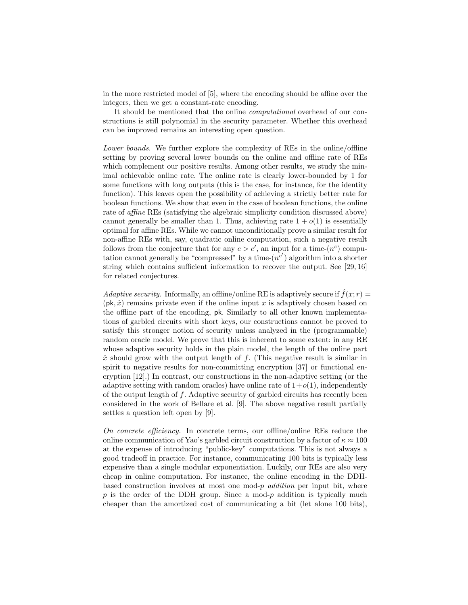in the more restricted model of [5], where the encoding should be affine over the integers, then we get a constant-rate encoding.

It should be mentioned that the online computational overhead of our constructions is still polynomial in the security parameter. Whether this overhead can be improved remains an interesting open question.

Lower bounds. We further explore the complexity of REs in the online/offline setting by proving several lower bounds on the online and offline rate of REs which complement our positive results. Among other results, we study the minimal achievable online rate. The online rate is clearly lower-bounded by 1 for some functions with long outputs (this is the case, for instance, for the identity function). This leaves open the possibility of achieving a strictly better rate for boolean functions. We show that even in the case of boolean functions, the online rate of affine REs (satisfying the algebraic simplicity condition discussed above) cannot generally be smaller than 1. Thus, achieving rate  $1 + o(1)$  is essentially optimal for affine REs. While we cannot unconditionally prove a similar result for non-affine REs with, say, quadratic online computation, such a negative result follows from the conjecture that for any  $c > c'$ , an input for a time- $(n<sup>c</sup>)$  computation cannot generally be "compressed" by a time- $(n^{c'})$  algorithm into a shorter string which contains sufficient information to recover the output. See [29, 16] for related conjectures.

Adaptive security. Informally, an offline/online RE is adaptively secure if  $\hat{f}(x; r)$  =  $(\mathsf{pk}, \hat{x})$  remains private even if the online input x is adaptively chosen based on the offline part of the encoding, pk. Similarly to all other known implementations of garbled circuits with short keys, our constructions cannot be proved to satisfy this stronger notion of security unless analyzed in the (programmable) random oracle model. We prove that this is inherent to some extent: in any RE whose adaptive security holds in the plain model, the length of the online part  $\hat{x}$  should grow with the output length of f. (This negative result is similar in spirit to negative results for non-committing encryption [37] or functional encryption [12].) In contrast, our constructions in the non-adaptive setting (or the adaptive setting with random oracles) have online rate of  $1+o(1)$ , independently of the output length of f. Adaptive security of garbled circuits has recently been considered in the work of Bellare et al. [9]. The above negative result partially settles a question left open by [9].

On concrete efficiency. In concrete terms, our offline/online REs reduce the online communication of Yao's garbled circuit construction by a factor of  $\kappa \approx 100$ at the expense of introducing "public-key" computations. This is not always a good tradeoff in practice. For instance, communicating 100 bits is typically less expensive than a single modular exponentiation. Luckily, our REs are also very cheap in online computation. For instance, the online encoding in the DDHbased construction involves at most one mod- $p$  *addition* per input bit, where  $p$  is the order of the DDH group. Since a mod- $p$  addition is typically much cheaper than the amortized cost of communicating a bit (let alone 100 bits),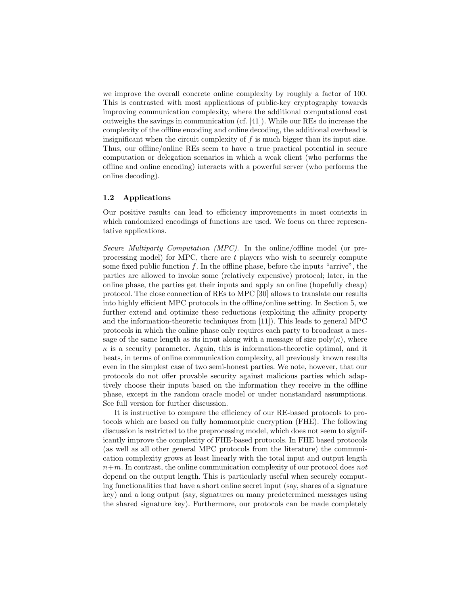we improve the overall concrete online complexity by roughly a factor of 100. This is contrasted with most applications of public-key cryptography towards improving communication complexity, where the additional computational cost outweighs the savings in communication (cf. [41]). While our REs do increase the complexity of the offline encoding and online decoding, the additional overhead is insignificant when the circuit complexity of  $f$  is much bigger than its input size. Thus, our offline/online REs seem to have a true practical potential in secure computation or delegation scenarios in which a weak client (who performs the offline and online encoding) interacts with a powerful server (who performs the online decoding).

## 1.2 Applications

Our positive results can lead to efficiency improvements in most contexts in which randomized encodings of functions are used. We focus on three representative applications.

Secure Multiparty Computation (MPC). In the online/offline model (or preprocessing model) for MPC, there are  $t$  players who wish to securely compute some fixed public function  $f$ . In the offline phase, before the inputs "arrive", the parties are allowed to invoke some (relatively expensive) protocol; later, in the online phase, the parties get their inputs and apply an online (hopefully cheap) protocol. The close connection of REs to MPC [30] allows to translate our results into highly efficient MPC protocols in the offline/online setting. In Section 5, we further extend and optimize these reductions (exploiting the affinity property and the information-theoretic techniques from [11]). This leads to general MPC protocols in which the online phase only requires each party to broadcast a message of the same length as its input along with a message of size  $poly(\kappa)$ , where  $\kappa$  is a security parameter. Again, this is information-theoretic optimal, and it beats, in terms of online communication complexity, all previously known results even in the simplest case of two semi-honest parties. We note, however, that our protocols do not offer provable security against malicious parties which adaptively choose their inputs based on the information they receive in the offline phase, except in the random oracle model or under nonstandard assumptions. See full version for further discussion.

It is instructive to compare the efficiency of our RE-based protocols to protocols which are based on fully homomorphic encryption (FHE). The following discussion is restricted to the preprocessing model, which does not seem to significantly improve the complexity of FHE-based protocols. In FHE based protocols (as well as all other general MPC protocols from the literature) the communication complexity grows at least linearly with the total input and output length  $n+m$ . In contrast, the online communication complexity of our protocol does not depend on the output length. This is particularly useful when securely computing functionalities that have a short online secret input (say, shares of a signature key) and a long output (say, signatures on many predetermined messages using the shared signature key). Furthermore, our protocols can be made completely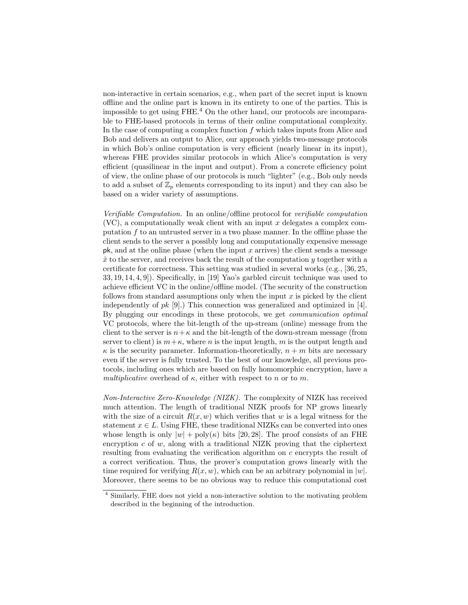non-interactive in certain scenarios, e.g., when part of the secret input is known offline and the online part is known in its entirety to one of the parties. This is impossible to get using  $FHE<sup>4</sup>$  On the other hand, our protocols are incomparable to FHE-based protocols in terms of their online computational complexity. In the case of computing a complex function  $f$  which takes inputs from Alice and Bob and delivers an output to Alice, our approach yields two-message protocols in which Bob's online computation is very efficient (nearly linear in its input), whereas FHE provides similar protocols in which Alice's computation is very efficient (quasilinear in the input and output). From a concrete efficiency point of view, the online phase of our protocols is much "lighter" (e.g., Bob only needs to add a subset of  $\mathbb{Z}_p$  elements corresponding to its input) and they can also be based on a wider variety of assumptions.

Verifiable Computation. In an online/offline protocol for verifiable computation  $(VC)$ , a computationally weak client with an input x delegates a complex computation f to an untrusted server in a two phase manner. In the offline phase the client sends to the server a possibly long and computationally expensive message  $pk$ , and at the online phase (when the input x arrives) the client sends a message  $\hat{x}$  to the server, and receives back the result of the computation y together with a certificate for correctness. This setting was studied in several works (e.g., [36, 25, 33, 19, 14, 4, 9]). Specifically, in [19] Yao's garbled circuit technique was used to achieve efficient VC in the online/offline model. (The security of the construction follows from standard assumptions only when the input  $x$  is picked by the client independently of  $pk$  [9].) This connection was generalized and optimized in [4]. By plugging our encodings in these protocols, we get communication optimal VC protocols, where the bit-length of the up-stream (online) message from the client to the server is  $n+\kappa$  and the bit-length of the down-stream message (from server to client) is  $m+\kappa$ , where n is the input length, m is the output length and  $\kappa$  is the security parameter. Information-theoretically,  $n + m$  bits are necessary even if the server is fully trusted. To the best of our knowledge, all previous protocols, including ones which are based on fully homomorphic encryption, have a multiplicative overhead of  $\kappa$ , either with respect to n or to m.

Non-Interactive Zero-Knowledge (NIZK). The complexity of NIZK has received much attention. The length of traditional NIZK proofs for NP grows linearly with the size of a circuit  $R(x, w)$  which verifies that w is a legal witness for the statement  $x \in L$ . Using FHE, these traditional NIZKs can be converted into ones whose length is only  $|w| + \text{poly}(\kappa)$  bits [20, 28]. The proof consists of an FHE encryption c of  $w$ , along with a traditional NIZK proving that the ciphertext resulting from evaluating the verification algorithm on c encrypts the result of a correct verification. Thus, the prover's computation grows linearly with the time required for verifying  $R(x, w)$ , which can be an arbitrary polynomial in  $|w|$ . Moreover, there seems to be no obvious way to reduce this computational cost

<sup>4</sup> Similarly, FHE does not yield a non-interactive solution to the motivating problem described in the beginning of the introduction.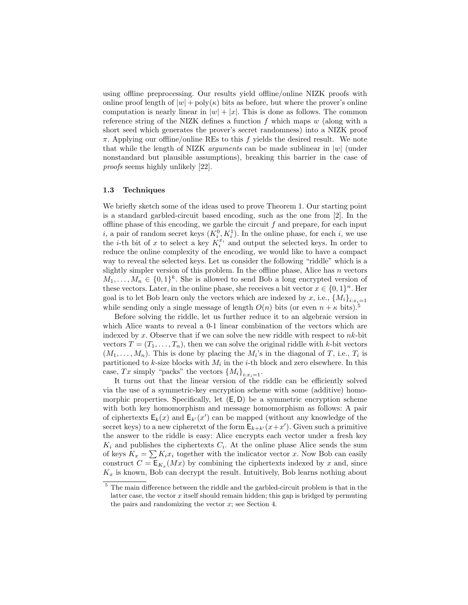using offline preprocessing. Our results yield offline/online NIZK proofs with online proof length of  $|w| + \text{poly}(\kappa)$  bits as before, but where the prover's online computation is nearly linear in  $|w| + |x|$ . This is done as follows. The common reference string of the NIZK defines a function  $f$  which maps  $w$  (along with a short seed which generates the prover's secret randomness) into a NIZK proof  $\pi$ . Applying our offline/online REs to this f yields the desired result. We note that while the length of NIZK *arguments* can be made sublinear in  $|w|$  (under nonstandard but plausible assumptions), breaking this barrier in the case of proofs seems highly unlikely [22].

### 1.3 Techniques

We briefly sketch some of the ideas used to prove Theorem 1. Our starting point is a standard garbled-circuit based encoding, such as the one from [2]. In the offline phase of this encoding, we garble the circuit  $f$  and prepare, for each input  $i$ , a pair of random secret keys  $(K_i^0, K_i^1)$ . In the online phase, for each  $i$ , we use the *i*-th bit of x to select a key  $K_i^{x_i}$  and output the selected keys. In order to reduce the online complexity of the encoding, we would like to have a compact way to reveal the selected keys. Let us consider the following "riddle" which is a slightly simpler version of this problem. In the offline phase, Alice has  $n$  vectors  $M_1, \ldots, M_n \in \{0,1\}^k$ . She is allowed to send Bob a long encrypted version of these vectors. Later, in the online phase, she receives a bit vector  $x \in \{0,1\}^n$ . Her goal is to let Bob learn only the vectors which are indexed by x, i.e.,  $\{M_i\}_{i:x_i=1}$ while sending only a single message of length  $O(n)$  bits (or even  $n + \kappa$  bits).<sup>5</sup>

Before solving the riddle, let us further reduce it to an algebraic version in which Alice wants to reveal a 0-1 linear combination of the vectors which are indexed by x. Observe that if we can solve the new riddle with respect to  $nk$ -bit vectors  $T = (T_1, \ldots, T_n)$ , then we can solve the original riddle with k-bit vectors  $(M_1, \ldots, M_n)$ . This is done by placing the  $M_i$ 's in the diagonal of T, i.e.,  $T_i$  is partitioned to k-size blocks with  $M_i$  in the *i*-th block and zero elsewhere. In this case, Tx simply "packs" the vectors  $\{M_i\}_{i:x_i=1}$ .

It turns out that the linear version of the riddle can be efficiently solved via the use of a symmetric-key encryption scheme with some (additive) homomorphic properties. Specifically, let  $(E, D)$  be a symmetric encryption scheme with both key homomorphism and message homomorphism as follows: A pair of ciphertexts  $E_k(x)$  and  $E_{k'}(x')$  can be mapped (without any knowledge of the secret keys) to a new cipheretxt of the form  $\mathsf{E}_{k+k'}(x+x')$ . Given such a primitive the answer to the riddle is easy: Alice encrypts each vector under a fresh key  $K_i$  and publishes the ciphertexts  $C_i$ . At the online phase Alice sends the sum of keys  $K_x = \sum K_i x_i$  together with the indicator vector x. Now Bob can easily construct  $C = \mathsf{E}_{K_x}(Mx)$  by combining the ciphertexts indexed by x and, since  $K_x$  is known, Bob can decrypt the result. Intuitively, Bob learns nothing about

<sup>&</sup>lt;sup>5</sup> The main difference between the riddle and the garbled-circuit problem is that in the latter case, the vector  $x$  itself should remain hidden; this gap is bridged by permuting the pairs and randomizing the vector  $x$ ; see Section 4.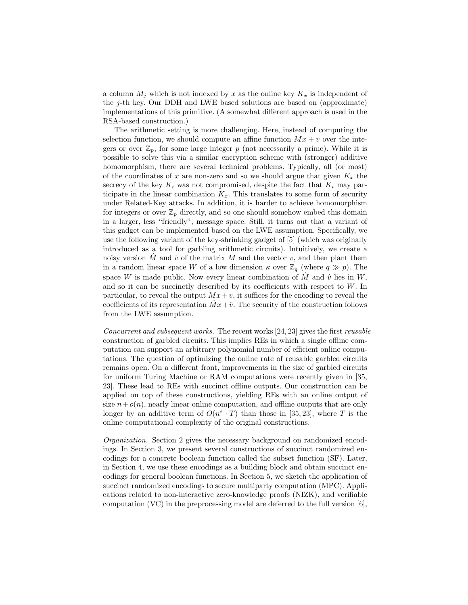a column  $M_i$  which is not indexed by x as the online key  $K_x$  is independent of the  $j$ -th key. Our DDH and LWE based solutions are based on (approximate) implementations of this primitive. (A somewhat different approach is used in the RSA-based construction.)

The arithmetic setting is more challenging. Here, instead of computing the selection function, we should compute an affine function  $Mx + v$  over the integers or over  $\mathbb{Z}_p$ , for some large integer p (not necessarily a prime). While it is possible to solve this via a similar encryption scheme with (stronger) additive homomorphism, there are several technical problems. Typically, all (or most) of the coordinates of x are non-zero and so we should argue that given  $K_x$  the secrecy of the key  $K_i$  was not compromised, despite the fact that  $K_i$  may participate in the linear combination  $K_x$ . This translates to some form of security under Related-Key attacks. In addition, it is harder to achieve homomorphism for integers or over  $\mathbb{Z}_p$  directly, and so one should somehow embed this domain in a larger, less "friendly", message space. Still, it turns out that a variant of this gadget can be implemented based on the LWE assumption. Specifically, we use the following variant of the key-shrinking gadget of [5] (which was originally introduced as a tool for garbling arithmetic circuits). Intuitively, we create a noisy version  $\tilde{M}$  and  $\hat{v}$  of the matrix  $M$  and the vector  $v$ , and then plant them in a random linear space W of a low dimension  $\kappa$  over  $\mathbb{Z}_q$  (where  $q \gg p$ ). The space W is made public. Now every linear combination of  $\hat{M}$  and  $\hat{v}$  lies in W, and so it can be succinctly described by its coefficients with respect to W. In particular, to reveal the output  $Mx+v$ , it suffices for the encoding to reveal the coefficients of its representation  $\tilde{M}x+\hat{v}$ . The security of the construction follows from the LWE assumption.

Concurrent and subsequent works. The recent works [24, 23] gives the first reusable construction of garbled circuits. This implies REs in which a single offline computation can support an arbitrary polynomial number of efficient online computations. The question of optimizing the online rate of reusable garbled circuits remains open. On a different front, improvements in the size of garbled circuits for uniform Turing Machine or RAM computations were recently given in [35, 23]. These lead to REs with succinct offline outputs. Our construction can be applied on top of these constructions, yielding REs with an online output of size  $n+o(n)$ , nearly linear online computation, and offline outputs that are only longer by an additive term of  $O(n^{\epsilon} \cdot T)$  than those in [35, 23], where T is the online computational complexity of the original constructions.

Organization. Section 2 gives the necessary background on randomized encodings. In Section 3, we present several constructions of succinct randomized encodings for a concrete boolean function called the subset function (SF). Later, in Section 4, we use these encodings as a building block and obtain succinct encodings for general boolean functions. In Section 5, we sketch the application of succinct randomized encodings to secure multiparty computation (MPC). Applications related to non-interactive zero-knowledge proofs (NIZK), and verifiable computation (VC) in the preprocessing model are deferred to the full version [6],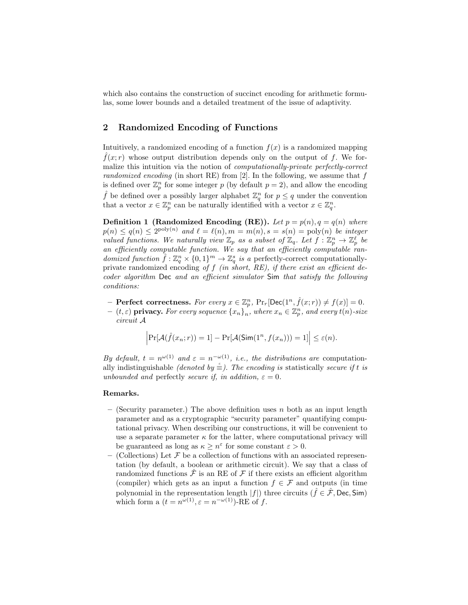which also contains the construction of succinct encoding for arithmetic formulas, some lower bounds and a detailed treatment of the issue of adaptivity.

# 2 Randomized Encoding of Functions

Intuitively, a randomized encoding of a function  $f(x)$  is a randomized mapping  $f(x; r)$  whose output distribution depends only on the output of f. We formalize this intuition via the notion of *computationally-private perfectly-correct* randomized encoding (in short RE) from  $[2]$ . In the following, we assume that  $f$ is defined over  $\mathbb{Z}_p^n$  for some integer p (by default  $p=2$ ), and allow the encoding f be defined over a possibly larger alphabet  $\mathbb{Z}_q^n$  for  $p \leq q$  under the convention that a vector  $x \in \mathbb{Z}_p^n$  can be naturally identified with a vector  $x \in \mathbb{Z}_q^n$ .

**Definition 1 (Randomized Encoding (RE)).** Let  $p = p(n)$ ,  $q = q(n)$  where  $p(n) \leq q(n) \leq 2^{\text{poly}(n)}$  and  $\ell = \ell(n), m = m(n), s = s(n) = \text{poly}(n)$  be integer valued functions. We naturally view  $\mathbb{Z}_p$  as a subset of  $\mathbb{Z}_q$ . Let  $f: \mathbb{Z}_p^n \to \mathbb{Z}_p^\ell$  be an efficiently computable function. We say that an efficiently computable randomized function  $\hat{f} : \mathbb{Z}_q^n \times \{0,1\}^m \to \mathbb{Z}_q^s$  is a perfectly-correct computationallyprivate randomized encoding of  $f$  (in short, RE), if there exist an efficient decoder algorithm Dec and an efficient simulator Sim that satisfy the following conditions:

- Perfect correctness. For every  $x \in \mathbb{Z}_p^n$ ,  $Pr_r[\text{Dec}(1^n, \hat{f}(x; r)) \neq f(x)] = 0$ .
- $(t, \varepsilon)$  privacy. For every sequence  $\{x_n\}_n^r$ , where  $x_n \in \mathbb{Z}_p^n$ , and every  $t(n)$ -size circuit A

$$
\left|\Pr[\mathcal{A}(\hat{f}(x_n; r)) = 1] - \Pr[\mathcal{A}(\mathsf{Sim}(1^n, f(x_n))) = 1]\right| \leq \varepsilon(n).
$$

By default,  $t = n^{\omega(1)}$  and  $\varepsilon = n^{-\omega(1)}$ , *i.e.*, the distributions are computationally indistinguishable *(denoted by*  $\stackrel{\circ}{\equiv}$ ). The encoding is statistically secure if t is unbounded and perfectly secure if, in addition,  $\varepsilon = 0$ .

## Remarks.

- (Security parameter.) The above definition uses n both as an input length parameter and as a cryptographic "security parameter" quantifying computational privacy. When describing our constructions, it will be convenient to use a separate parameter  $\kappa$  for the latter, where computational privacy will be guaranteed as long as  $\kappa \geq n^{\varepsilon}$  for some constant  $\varepsilon > 0$ .
- (Collections) Let  $\mathcal F$  be a collection of functions with an associated representation (by default, a boolean or arithmetic circuit). We say that a class of randomized functions  $\hat{\mathcal{F}}$  is an RE of  $\mathcal F$  if there exists an efficient algorithm (compiler) which gets as an input a function  $f \in \mathcal{F}$  and outputs (in time polynomial in the representation length  $|f|$ ) three circuits ( $\hat{f} \in \hat{\mathcal{F}}$ , Dec, Sim) which form a  $(t = n^{\omega(1)}, \varepsilon = n^{-\omega(1)})$ -RE of f.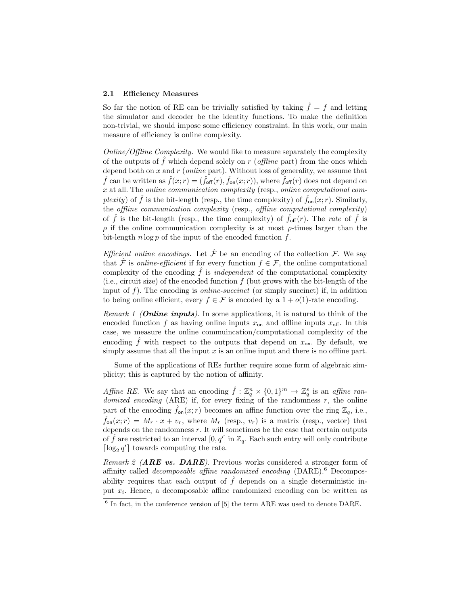#### 2.1 Efficiency Measures

So far the notion of RE can be trivially satisfied by taking  $\hat{f} = f$  and letting the simulator and decoder be the identity functions. To make the definition non-trivial, we should impose some efficiency constraint. In this work, our main measure of efficiency is online complexity.

Online/Offline Complexity. We would like to measure separately the complexity of the outputs of  $\hat{f}$  which depend solely on r (*offline* part) from the ones which depend both on  $x$  and  $r$  (*online* part). Without loss of generality, we assume that  $\hat{f}$  can be written as  $\hat{f}(x; r) = (\hat{f}_{\text{off}}(r), \hat{f}_{\text{on}}(x; r))$ , where  $\hat{f}_{\text{off}}(r)$  does not depend on x at all. The online communication complexity (resp., online computational com*plexity*) of  $\hat{f}$  is the bit-length (resp., the time complexity) of  $f_{\text{on}}(x; r)$ . Similarly, the offline communication complexity (resp., offline computational complexity) of  $\hat{f}$  is the bit-length (resp., the time complexity) of  $\hat{f}_{off}(r)$ . The rate of  $\hat{f}$  is  $\rho$  if the online communication complexity is at most  $\rho$ -times larger than the bit-length  $n \log p$  of the input of the encoded function  $f$ .

Efficient online encodings. Let  $\hat{\mathcal{F}}$  be an encoding of the collection  $\mathcal{F}$ . We say that  $\hat{\mathcal{F}}$  is *online-efficient* if for every function  $f \in \mathcal{F}$ , the online computational complexity of the encoding  $\hat{f}$  is *independent* of the computational complexity (i.e., circuit size) of the encoded function  $f$  (but grows with the bit-length of the input of  $f$ ). The encoding is *online-succinct* (or simply succinct) if, in addition to being online efficient, every  $f \in \mathcal{F}$  is encoded by a  $1 + o(1)$ -rate encoding.

Remark 1 (**Online inputs**). In some applications, it is natural to think of the encoded function f as having online inputs  $x_{\text{on}}$  and offline inputs  $x_{\text{off}}$ . In this case, we measure the online commuincation/computational complexity of the encoding  $\hat{f}$  with respect to the outputs that depend on  $x_{\text{on}}$ . By default, we simply assume that all the input  $x$  is an online input and there is no offline part.

Some of the applications of REs further require some form of algebraic simplicity; this is captured by the notion of affinity.

Affine RE. We say that an encoding  $\hat{f} : \mathbb{Z}_q^n \times \{0,1\}^m \to \mathbb{Z}_q^s$  is an affine randomized encoding  $(ARE)$  if, for every fixing of the randomness r, the online part of the encoding  $f_{\text{on}}(x; r)$  becomes an affine function over the ring  $\mathbb{Z}_q$ , i.e.,  $\hat{f}_{\text{on}}(x; r) = M_r \cdot x + v_r$ , where  $M_r$  (resp.,  $v_r$ ) is a matrix (resp., vector) that depends on the randomness  $r$ . It will sometimes be the case that certain outputs of  $\hat{f}$  are restricted to an interval  $[0, q']$  in  $\mathbb{Z}_q$ . Each such entry will only contribute  $\lceil \log_2 q' \rceil$  towards computing the rate.

Remark 2 ( $ARE$  vs.  $DARE$ ). Previous works considered a stronger form of affinity called *decomposable affine randomized encoding*  $(DARE)$ .<sup>6</sup> Decomposability requires that each output of  $\hat{f}$  depends on a single deterministic input  $x_i$ . Hence, a decomposable affine randomized encoding can be written as

 $6$  In fact, in the conference version of [5] the term ARE was used to denote DARE.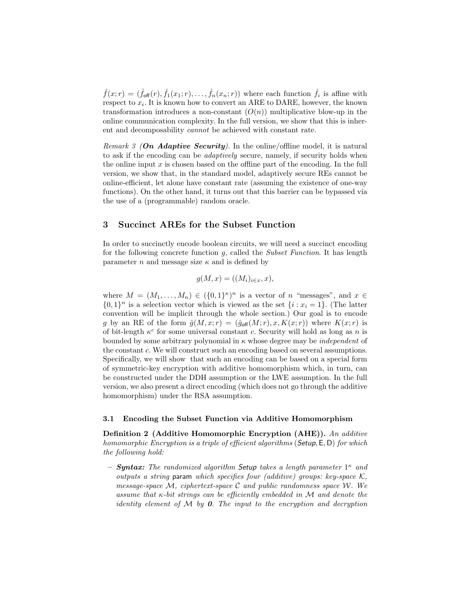$\hat{f}(x;r) = (\hat{f}_{\text{off}}(r), \hat{f}_1(x_1;r), \dots, \hat{f}_n(x_n;r))$  where each function  $\hat{f}_i$  is affine with respect to  $x_i$ . It is known how to convert an ARE to DARE, however, the known transformation introduces a non-constant  $(O(n))$  multiplicative blow-up in the online communication complexity. In the full version, we show that this is inherent and decomposability cannot be achieved with constant rate.

Remark 3 (On Adaptive Security). In the online/offline model, it is natural to ask if the encoding can be adaptively secure, namely, if security holds when the online input  $x$  is chosen based on the offline part of the encoding. In the full version, we show that, in the standard model, adaptively secure REs cannot be online-efficient, let alone have constant rate (assuming the existence of one-way functions). On the other hand, it turns out that this barrier can be bypassed via the use of a (programmable) random oracle.

## 3 Succinct AREs for the Subset Function

In order to succinctly encode boolean circuits, we will need a succinct encoding for the following concrete function  $g$ , called the *Subset Function*. It has length parameter *n* and message size  $\kappa$  and is defined by

$$
g(M, x) = ((M_i)_{i \in x}, x),
$$

where  $M = (M_1, \ldots, M_n) \in (\{0,1\}^{\kappa})^n$  is a vector of n "messages", and  $x \in$  $\{0,1\}^n$  is a selection vector which is viewed as the set  $\{i : x_i = 1\}$ . (The latter convention will be implicit through the whole section.) Our goal is to encode g by an RE of the form  $\hat{g}(M, x; r) = (\hat{g}_{off}(M; r), x, K(x; r))$  where  $K(x; r)$  is of bit-length  $\kappa^c$  for some universal constant c. Security will hold as long as n is bounded by some arbitrary polynomial in  $\kappa$  whose degree may be *independent* of the constant c. We will construct such an encoding based on several assumptions. Specifically, we will show that such an encoding can be based on a special form of symmetric-key encryption with additive homomorphism which, in turn, can be constructed under the DDH assumption or the LWE assumption. In the full version, we also present a direct encoding (which does not go through the additive homomorphism) under the RSA assumption.

#### 3.1 Encoding the Subset Function via Additive Homomorphism

Definition 2 (Additive Homomorphic Encryption (AHE)). An additive homomorphic Encryption is a triple of efficient algorithms (Setup, E, D) for which the following hold:

- **Syntax:** The randomized algorithm Setup takes a length parameter  $1^{\kappa}$  and outputs a string param which specifies four (additive) groups: key-space  $\mathcal{K}$ , message-space  $\mathcal M$ , ciphertext-space C and public randomness space W. We assume that  $\kappa$ -bit strings can be efficiently embedded in M and denote the identity element of  $M$  by  $\boldsymbol{\theta}$ . The input to the encryption and decryption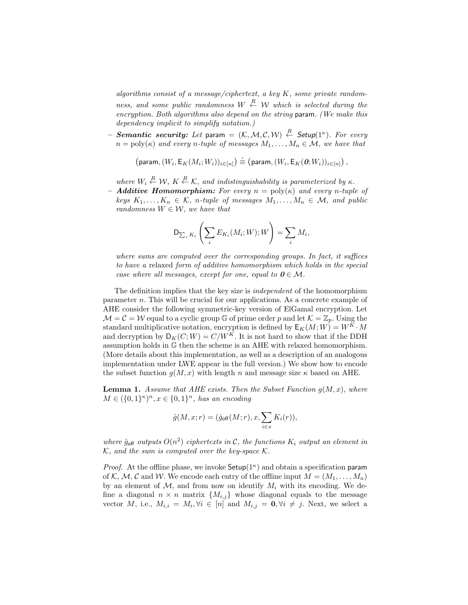algorithms consist of a message/ciphertext, a key K, some private randomness, and some public randomness  $W \stackrel{R}{\leftarrow} \mathcal{W}$  which is selected during the encryption. Both algorithms also depend on the string param. (We make this dependency implicit to simplify notation.)

 $-$  Se $\bm{m}$ antic security: Let para $=\ (\mathcal{K},\mathcal{M},\mathcal{C},\mathcal{W})\ \stackrel{R}{\leftarrow}$  Setup $(1^\kappa).$  For every  $n = \text{poly}(\kappa)$  and every n-tuple of messages  $M_1, \ldots, M_n \in \mathcal{M}$ , we have that

$$
\left(\text{param},(W_i,\mathsf{E}_K(M_i;W_i))_{i\in[n]}\right)\stackrel{\scriptscriptstyle c}{\equiv}\left(\text{param},(W_i,\mathsf{E}_K(\textbf{0};W_i))_{i\in[n]}\right),
$$

where  $W_i \stackrel{R}{\leftarrow} W$ ,  $K \stackrel{R}{\leftarrow} K$ , and indistinguishability is parameterized by  $\kappa$ .

- **Additive Homomorphism:** For every  $n = poly(\kappa)$  and every n-tuple of keys  $K_1, \ldots, K_n \in \mathcal{K}$ , n-tuple of messages  $M_1, \ldots, M_n \in \mathcal{M}$ , and public randomness  $W \in \mathcal{W}$ , we have that

$$
\mathsf{D}_{\sum_i K_i}\left(\sum_i E_{K_i}(M_i; W); W\right) = \sum_i M_i,
$$

where sums are computed over the corresponding groups. In fact, it suffices to have a relaxed form of additive homomorphism which holds in the special case where all messages, except for one, equal to  $0 \in \mathcal{M}$ .

The definition implies that the key size is independent of the homomorphism parameter n. This will be crucial for our applications. As a concrete example of AHE consider the following symmetric-key version of ElGamal encryption. Let  $\mathcal{M} = \mathcal{C} = \mathcal{W}$  equal to a cyclic group G of prime order p and let  $\mathcal{K} = \mathbb{Z}_p$ . Using the standard multiplicative notation, encryption is defined by  $\mathsf{E}_K(M; W) = W^K \cdot M$ and decryption by  $D_K(C;W) = C/W^K$ . It is not hard to show that if the DDH assumption holds in G then the scheme is an AHE with relaxed homomorphism. (More details about this implementation, as well as a description of an analogous implementation under LWE appear in the full version.) We show how to encode the subset function  $g(M, x)$  with length n and message size  $\kappa$  based on AHE.

**Lemma 1.** Assume that AHE exists. Then the Subset Function  $g(M, x)$ , where  $M \in (\{0,1\}^{\kappa})^n, x \in \{0,1\}^n$ , has an encoding

$$
\hat{g}(M,x;r) = (\hat{g}_{\text{off}}(M;r),x,\sum_{i \in x} K_i(r)),
$$

where  $\hat{g}_{off}$  outputs  $O(n^2)$  ciphertexts in C, the functions  $K_i$  output an element in  $K$ , and the sum is computed over the key-space  $K$ .

*Proof.* At the offline phase, we invoke  $\mathsf{Setup}(1^\kappa)$  and obtain a specification param of K, M, C and W. We encode each entry of the offline input  $M = (M_1, \ldots, M_n)$ by an element of  $\mathcal{M}$ , and from now on identify  $M_i$  with its encoding. We define a diagonal  $n \times n$  matrix  $\{M_{i,j}\}\$  whose diagonal equals to the message vector M, i.e.,  $M_{i,i} = M_i, \forall i \in [n]$  and  $M_{i,j} = \mathbf{0}, \forall i \neq j$ . Next, we select a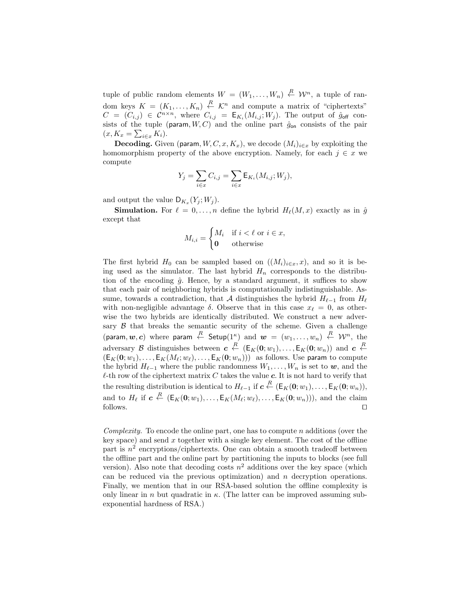tuple of public random elements  $W = (W_1, \ldots, W_n) \stackrel{R}{\leftarrow} \mathcal{W}^n$ , a tuple of random keys  $K = (K_1, \ldots, K_n) \stackrel{R}{\leftarrow} \mathcal{K}^n$  and compute a matrix of "ciphertexts"  $C = (C_{i,j}) \in C^{n \times n}$ , where  $C_{i,j} = \mathsf{E}_{K_i}(M_{i,j}; W_j)$ . The output of  $\hat{g}_{off}$  consists of the tuple (param,  $W, C$ ) and the online part  $\hat{g}_{\text{on}}$  consists of the pair  $(x, K_x = \sum_{i \in x} K_i).$ 

**Decoding.** Given (param,  $W, C, x, K_x$ ), we decode  $(M_i)_{i \in x}$  by exploiting the homomorphism property of the above encryption. Namely, for each  $j \in x$  we compute

$$
Y_j = \sum_{i \in x} C_{i,j} = \sum_{i \in x} \mathsf{E}_{K_i}(M_{i,j}; W_j),
$$

and output the value  $D_{K_x}(Y_j; W_j)$ .

**Simulation.** For  $\ell = 0, \ldots, n$  define the hybrid  $H_{\ell}(M, x)$  exactly as in  $\hat{g}$ except that

$$
M_{i,i} = \begin{cases} M_i & \text{if } i < \ell \text{ or } i \in x, \\ \mathbf{0} & \text{otherwise} \end{cases}
$$

The first hybrid  $H_0$  can be sampled based on  $((M_i)_{i\in\mathcal{X}}, x)$ , and so it is being used as the simulator. The last hybrid  $H_n$  corresponds to the distribution of the encoding  $\hat{g}$ . Hence, by a standard argument, it suffices to show that each pair of neighboring hybrids is computationally indistinguishable. Assume, towards a contradiction, that A distinguishes the hybrid  $H_{\ell-1}$  from  $H_{\ell}$ with non-negligible advantage  $\delta$ . Observe that in this case  $x_{\ell} = 0$ , as otherwise the two hybrids are identically distributed. We construct a new adversary  $\beta$  that breaks the semantic security of the scheme. Given a challenge (param,  $w, c$ ) where param  $\stackrel{R}{\leftarrow}$  Setup $(1^{\kappa})$  and  $w~=~(w_1, \ldots, w_n)~\stackrel{R}{\leftarrow}~\mathcal{W}^n,$  the adversary B distinguishes between  $c \stackrel{R}{\leftarrow} (\mathsf{E}_K(0; w_1), \ldots, \mathsf{E}_K(0; w_n))$  and  $c \stackrel{R}{\leftarrow}$  $(E_K(0; w_1), \ldots, E_K(M_\ell; w_\ell), \ldots, E_K(0; w_n)))$  as follows. Use param to compute the hybrid  $H_{\ell-1}$  where the public randomness  $W_1, \ldots, W_n$  is set to w, and the  $\ell$ -th row of the ciphertext matrix C takes the value c. It is not hard to verify that the resulting distribution is identical to  $H_{\ell-1}$  if  $c \stackrel{R}{\leftarrow} (\mathsf{E}_K(\mathbf{0}; w_1), \dots, \mathsf{E}_K(\mathbf{0}; w_n)),$ and to  $H_{\ell}$  if  $c \stackrel{R}{\leftarrow} (\mathsf{E}_K(0; w_1), \ldots, \mathsf{E}_K(M_{\ell}; w_{\ell}), \ldots, \mathsf{E}_K(0; w_n)))$ , and the claim  $\Box$  follows.

Complexity. To encode the online part, one has to compute n additions (over the key space) and send  $x$  together with a single key element. The cost of the offline part is  $n^2$  encryptions/ciphertexts. One can obtain a smooth tradeoff between the offline part and the online part by partitioning the inputs to blocks (see full version). Also note that decoding costs  $n^2$  additions over the key space (which can be reduced via the previous optimization) and  $n$  decryption operations. Finally, we mention that in our RSA-based solution the offline complexity is only linear in n but quadratic in  $\kappa$ . (The latter can be improved assuming subexponential hardness of RSA.)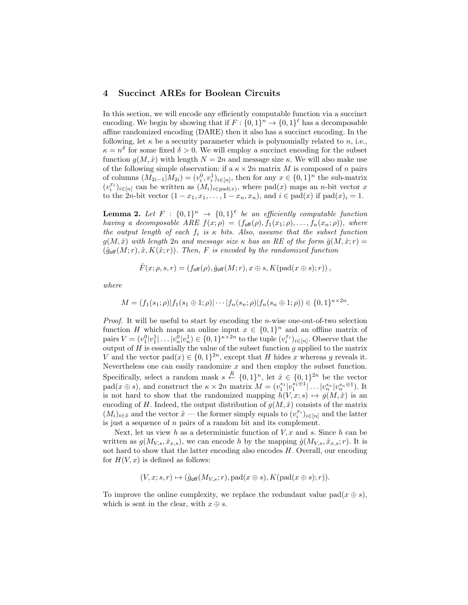# 4 Succinct AREs for Boolean Circuits

In this section, we will encode any efficiently computable function via a succinct encoding. We begin by showing that if  $F: \{0,1\}^n \to \{0,1\}^{\ell}$  has a decomposable affine randomized encoding (DARE) then it also has a succinct encoding. In the following, let  $\kappa$  be a security parameter which is polynomially related to n, i.e.,  $\kappa = n^{\delta}$  for some fixed  $\delta > 0$ . We will employ a succinct encoding for the subset function  $g(M, \hat{x})$  with length  $N = 2n$  and message size  $\kappa$ . We will also make use of the following simple observation: if a  $\kappa \times 2n$  matrix M is composed of n pairs of columns  $(M_{2i-1}|M_{2i}) = (v_i^0, v_i^1)_{i \in [n]}$ , then for any  $x \in \{0, 1\}^n$  the sub-matrix  $(v_i^{x_i})_{i \in [n]}$  can be written as  $(M_i)_{i \in [n]}(x)$ , where  $pad(x)$  maps an *n*-bit vector x to the 2n-bit vector  $(1-x_1, x_1, \ldots, 1-x_n, x_n)$ , and  $i \in \text{pad}(x)$  if  $\text{pad}(x)_i = 1$ .

**Lemma 2.** Let  $F : \{0,1\}^n \rightarrow \{0,1\}^{\ell}$  be an efficiently computable function having a decomposable ARE  $f(x; \rho) = (f_{\text{off}}(\rho), f_1(x_1; \rho), \ldots, f_n(x_n; \rho)),$  where the output length of each  $f_i$  is  $\kappa$  bits. Also, assume that the subset function  $g(M, \hat{x})$  with length 2n and message size  $\kappa$  has an RE of the form  $\hat{g}(M, \hat{x}; r) =$  $(\hat{g}_{off}(M; r), \hat{x}, K(\hat{x}; r))$ . Then, F is encoded by the randomized function

$$
\hat{F}(x; \rho, s, r) = (f_{\text{off}}(\rho), \hat{g}_{\text{off}}(M; r), x \oplus s, K(\text{pad}(x \oplus s); r)),
$$

where

$$
M = (f_1(s_1; \rho) | f_1(s_1 \oplus 1; \rho) | \cdots | f_n(s_n; \rho) | f_n(s_n \oplus 1; \rho) ) \in \{0, 1\}^{\kappa \times 2n}.
$$

*Proof.* It will be useful to start by encoding the *n*-wise one-out-of-two selection function H which maps an online input  $x \in \{0,1\}^n$  and an offline matrix of pairs  $V = (v_1^0 | v_1^1 | \dots | v_n^0 | v_n^1) \in \{0,1\}^{\kappa \times 2n}$  to the tuple  $(v_i^{x_i})_{i \in [n]}$ . Observe that the output of  $H$  is essentially the value of the subset function  $g$  applied to the matrix V and the vector  $pad(x) \in \{0,1\}^{2n}$ , except that H hides x whereas g reveals it. Nevertheless one can easily randomize  $x$  and then employ the subset function. Specifically, select a random mask  $s \stackrel{R}{\leftarrow} \{0,1\}^n$ , let  $\hat{x} \in \{0,1\}^{2n}$  be the vector  $\text{pad}(x \oplus s)$ , and construct the  $\kappa \times 2n$  matrix  $M = (v_1^{s_1}|v_1^{s_1 \oplus 1}| \dots |v_n^{s_n}|v_n^{s_n \oplus 1})$ . It is not hard to show that the randomized mapping  $h(V, x; s) \mapsto g(M, \hat{x})$  is an encoding of H. Indeed, the output distribution of  $g(M, \hat{x})$  consists of the matrix  $(M_i)_{i \in \hat{x}}$  and the vector  $\hat{x}$  — the former simply equals to  $(v_i^{x_i})_{i \in [n]}$  and the latter is just a sequence of n pairs of a random bit and its complement.

Next, let us view h as a deterministic function of  $V, x$  and s. Since h can be written as  $g(M_{V,s}, \hat{x}_{x,s})$ , we can encode h by the mapping  $\hat{g}(M_{V,s}, \hat{x}_{x,s}; r)$ . It is not hard to show that the latter encoding also encodes H. Overall, our encoding for  $H(V, x)$  is defined as follows:

$$
(V, x; s, r) \mapsto (\hat{g}_{\text{off}}(M_{V, s}; r), \text{pad}(x \oplus s), K(\text{pad}(x \oplus s); r)).
$$

To improve the online complexity, we replace the redundant value pad( $x \oplus s$ ), which is sent in the clear, with  $x \oplus s$ .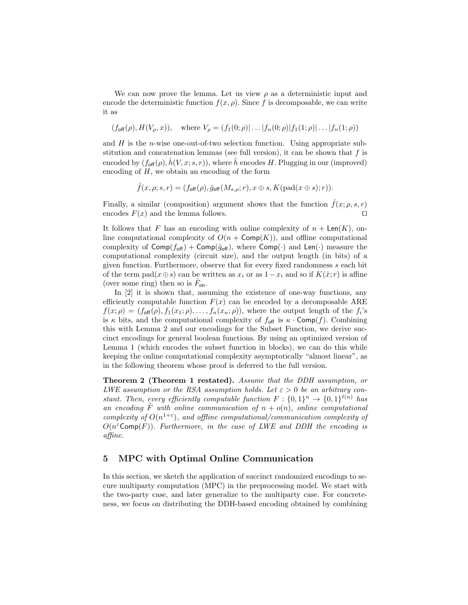We can now prove the lemma. Let us view  $\rho$  as a deterministic input and encode the deterministic function  $f(x, \rho)$ . Since f is decomposable, we can write it as

$$
(f_{\text{off}}(\rho), H(V_{\rho}, x)), \text{ where } V_{\rho} = (f_1(0; \rho), \dots, |f_n(0; \rho)|f_1(1; \rho), \dots, |f_n(1; \rho))
$$

and  $H$  is the *n*-wise one-out-of-two selection function. Using appropriate substitution and concatenation lemmas (see full version), it can be shown that  $f$  is encoded by  $(f_{\text{off}}(\rho), \hat{h}(V, x; s, r))$ , where  $\hat{h}$  encodes H. Plugging in our (improved) encoding of  $H$ , we obtain an encoding of the form

$$
\hat{f}(x,\rho;s,r)=(f_{\text{off}}(\rho),\hat{g}_{\text{off}}(M_{s,\rho};r),x\oplus s,K(\text{pad}(x\oplus s);r)).
$$

Finally, a similar (composition) argument shows that the function  $\hat{f}(x; \rho, s, r)$ encodes  $F(x)$  and the lemma follows.

It follows that F has an encoding with online complexity of  $n + \mathsf{Len}(K)$ , online computational complexity of  $O(n + \text{Comp}(K))$ , and offline computational complexity of  $\textsf{Comp}(f_{\textsf{off}}) + \textsf{Comp}(\hat{g}_{\textsf{off}})$ , where  $\textsf{Comp}(\cdot)$  and  $\textsf{Len}(\cdot)$  measure the computational complexity (circuit size), and the output length (in bits) of a given function. Furthermore, observe that for every fixed randomness s each bit of the term pad( $x \oplus s$ ) can be written as  $x_i$  or as  $1-x_i$  and so if  $K(\hat{x}; r)$  is affine (over some ring) then so is  $\hat{F}_{\text{on}}$ .

In [2] it is shown that, assuming the existence of one-way functions, any efficiently computable function  $F(x)$  can be encoded by a decomposable ARE  $f(x; \rho) = (f_{\text{off}}(\rho), f_1(x_1; \rho), \dots, f_n(x_n; \rho)),$  where the output length of the  $f_i$ 's is  $\kappa$  bits, and the computational complexity of  $f_{\text{off}}$  is  $\kappa \cdot \text{Comp}(f)$ . Combining this with Lemma 2 and our encodings for the Subset Function, we derive succinct encodings for general boolean functions. By using an optimized version of Lemma 1 (which encodes the subset function in blocks), we can do this while keeping the online computational complexity asymptotically "almost linear", as in the following theorem whose proof is deferred to the full version.

Theorem 2 (Theorem 1 restated). Assume that the DDH assumption, or LWE assumption or the RSA assumption holds. Let  $\varepsilon > 0$  be an arbitrary constant. Then, every efficiently computable function  $F: \{0,1\}^n \rightarrow \{0,1\}^{\ell(n)}$  has an encoding  $\hat{F}$  with online communication of  $n + o(n)$ , online computational complexity of  $O(n^{1+\epsilon})$ , and offline computational/communication complexity of  $O(n^{\varepsilon} \textsf{Comp}(F))$ . Furthermore, in the case of LWE and DDH the encoding is affine.

## 5 MPC with Optimal Online Communication

In this section, we sketch the application of succinct randomized encodings to secure multiparty computation (MPC) in the preprocessing model. We start with the two-party case, and later generalize to the multiparty case. For concreteness, we focus on distributing the DDH-based encoding obtained by combining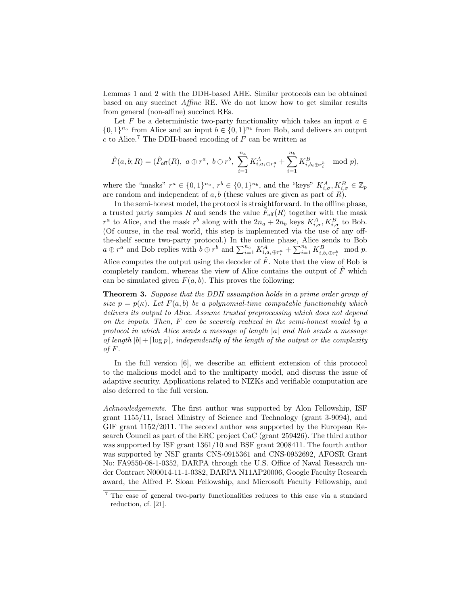Lemmas 1 and 2 with the DDH-based AHE. Similar protocols can be obtained based on any succinct Affine RE. We do not know how to get similar results from general (non-affine) succinct REs.

Let F be a deterministic two-party functionality which takes an input  $a \in$  $\{0,1\}^{n_a}$  from Alice and an input  $b \in \{0,1\}^{n_b}$  from Bob, and delivers an output c to Alice.<sup>7</sup> The DDH-based encoding of  $F$  can be written as

$$
\hat{F}(a,b;R) = (\hat{F}_{\text{off}}(R),\ a \oplus r^a,\ b \oplus r^b,\ \sum_{i=1}^{n_a} K^A_{i,a_i \oplus r^a_i} + \sum_{i=1}^{n_b} K^B_{i,b_i \oplus r^b_i} \mod p),
$$

where the "masks"  $r^a \in \{0,1\}^{n_a}$ ,  $r^b \in \{0,1\}^{n_b}$ , and the "keys"  $K_{i,\sigma}^A, K_{i,\sigma}^B \in \mathbb{Z}_p$ are random and independent of a, b (these values are given as part of  $R$ ).

In the semi-honest model, the protocol is straightforward. In the offline phase, a trusted party samples R and sends the value  $\tilde{F}_{\text{off}}(R)$  together with the mask  $r^a$  to Alice, and the mask  $r^b$  along with the  $2n_a + 2n_b$  keys  $K_{i,\sigma}^A, K_{i,\sigma}^B$  to Bob. (Of course, in the real world, this step is implemented via the use of any offthe-shelf secure two-party protocol.) In the online phase, Alice sends to Bob  $a \oplus r^a$  and Bob replies with  $b \oplus r^b$  and  $\sum_{i=1}^{n_a} K^A_{i, a_i \oplus r_i^a} + \sum_{i=1}^{n_b} K^B_{i, b_i \oplus r_i^b}$  mod p. Alice computes the output using the decoder of  $\hat{F}$ . Note that the view of Bob is completely random, whereas the view of Alice contains the output of  $F$  which can be simulated given  $F(a, b)$ . This proves the following:

Theorem 3. Suppose that the DDH assumption holds in a prime order group of size  $p = p(\kappa)$ . Let  $F(a, b)$  be a polynomial-time computable functionality which delivers its output to Alice. Assume trusted preprocessing which does not depend on the inputs. Then, F can be securely realized in the semi-honest model by a protocol in which Alice sends a message of length |a| and Bob sends a message of length  $|b| + \lceil \log p \rceil$ , independently of the length of the output or the complexity of  $F$ .

In the full version [6], we describe an efficient extension of this protocol to the malicious model and to the multiparty model, and discuss the issue of adaptive security. Applications related to NIZKs and verifiable computation are also deferred to the full version.

Acknowledgements. The first author was supported by Alon Fellowship, ISF grant 1155/11, Israel Ministry of Science and Technology (grant 3-9094), and GIF grant 1152/2011. The second author was supported by the European Research Council as part of the ERC project CaC (grant 259426). The third author was supported by ISF grant 1361/10 and BSF grant 2008411. The fourth author was supported by NSF grants CNS-0915361 and CNS-0952692, AFOSR Grant No: FA9550-08-1-0352, DARPA through the U.S. Office of Naval Research under Contract N00014-11-1-0382, DARPA N11AP20006, Google Faculty Research award, the Alfred P. Sloan Fellowship, and Microsoft Faculty Fellowship, and

<sup>7</sup> The case of general two-party functionalities reduces to this case via a standard reduction, cf. [21].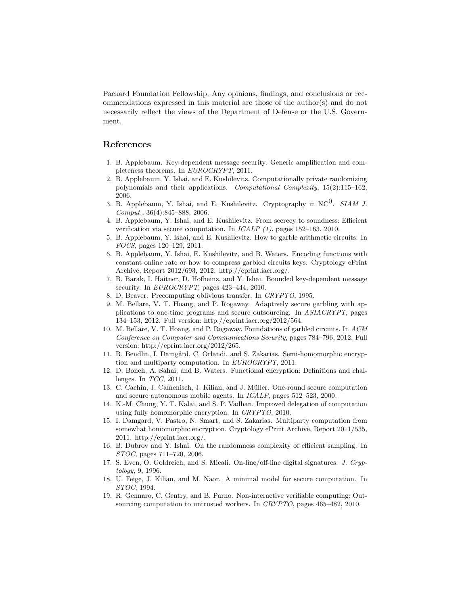Packard Foundation Fellowship. Any opinions, findings, and conclusions or recommendations expressed in this material are those of the author(s) and do not necessarily reflect the views of the Department of Defense or the U.S. Government.

# References

- 1. B. Applebaum. Key-dependent message security: Generic amplification and completeness theorems. In EUROCRYPT, 2011.
- 2. B. Applebaum, Y. Ishai, and E. Kushilevitz. Computationally private randomizing polynomials and their applications. Computational Complexity, 15(2):115–162, 2006.
- 3. B. Applebaum, Y. Ishai, and E. Kushilevitz. Cryptography in  $NC^0$ . SIAM J. Comput., 36(4):845–888, 2006.
- 4. B. Applebaum, Y. Ishai, and E. Kushilevitz. From secrecy to soundness: Efficient verification via secure computation. In  $ICALP$  (1), pages 152–163, 2010.
- 5. B. Applebaum, Y. Ishai, and E. Kushilevitz. How to garble arithmetic circuits. In FOCS, pages 120–129, 2011.
- 6. B. Applebaum, Y. Ishai, E. Kushilevitz, and B. Waters. Encoding functions with constant online rate or how to compress garbled circuits keys. Cryptology ePrint Archive, Report 2012/693, 2012. http://eprint.iacr.org/.
- 7. B. Barak, I. Haitner, D. Hofheinz, and Y. Ishai. Bounded key-dependent message security. In *EUROCRYPT*, pages 423-444, 2010.
- 8. D. Beaver. Precomputing oblivious transfer. In CRYPTO, 1995.
- 9. M. Bellare, V. T. Hoang, and P. Rogaway. Adaptively secure garbling with applications to one-time programs and secure outsourcing. In ASIACRYPT, pages 134–153, 2012. Full version: http://eprint.iacr.org/2012/564.
- 10. M. Bellare, V. T. Hoang, and P. Rogaway. Foundations of garbled circuits. In ACM Conference on Computer and Communications Security, pages 784–796, 2012. Full version: http://eprint.iacr.org/2012/265.
- 11. R. Bendlin, I. Damgård, C. Orlandi, and S. Zakarias. Semi-homomorphic encryption and multiparty computation. In EUROCRYPT, 2011.
- 12. D. Boneh, A. Sahai, and B. Waters. Functional encryption: Definitions and challenges. In TCC, 2011.
- 13. C. Cachin, J. Camenisch, J. Kilian, and J. M¨uller. One-round secure computation and secure autonomous mobile agents. In ICALP, pages 512–523, 2000.
- 14. K.-M. Chung, Y. T. Kalai, and S. P. Vadhan. Improved delegation of computation using fully homomorphic encryption. In CRYPTO, 2010.
- 15. I. Damgard, V. Pastro, N. Smart, and S. Zakarias. Multiparty computation from somewhat homomorphic encryption. Cryptology ePrint Archive, Report 2011/535, 2011. http://eprint.iacr.org/.
- 16. B. Dubrov and Y. Ishai. On the randomness complexity of efficient sampling. In STOC, pages 711–720, 2006.
- 17. S. Even, O. Goldreich, and S. Micali. On-line/off-line digital signatures. J. Cryptology, 9, 1996.
- 18. U. Feige, J. Kilian, and M. Naor. A minimal model for secure computation. In STOC, 1994.
- 19. R. Gennaro, C. Gentry, and B. Parno. Non-interactive verifiable computing: Outsourcing computation to untrusted workers. In CRYPTO, pages 465–482, 2010.